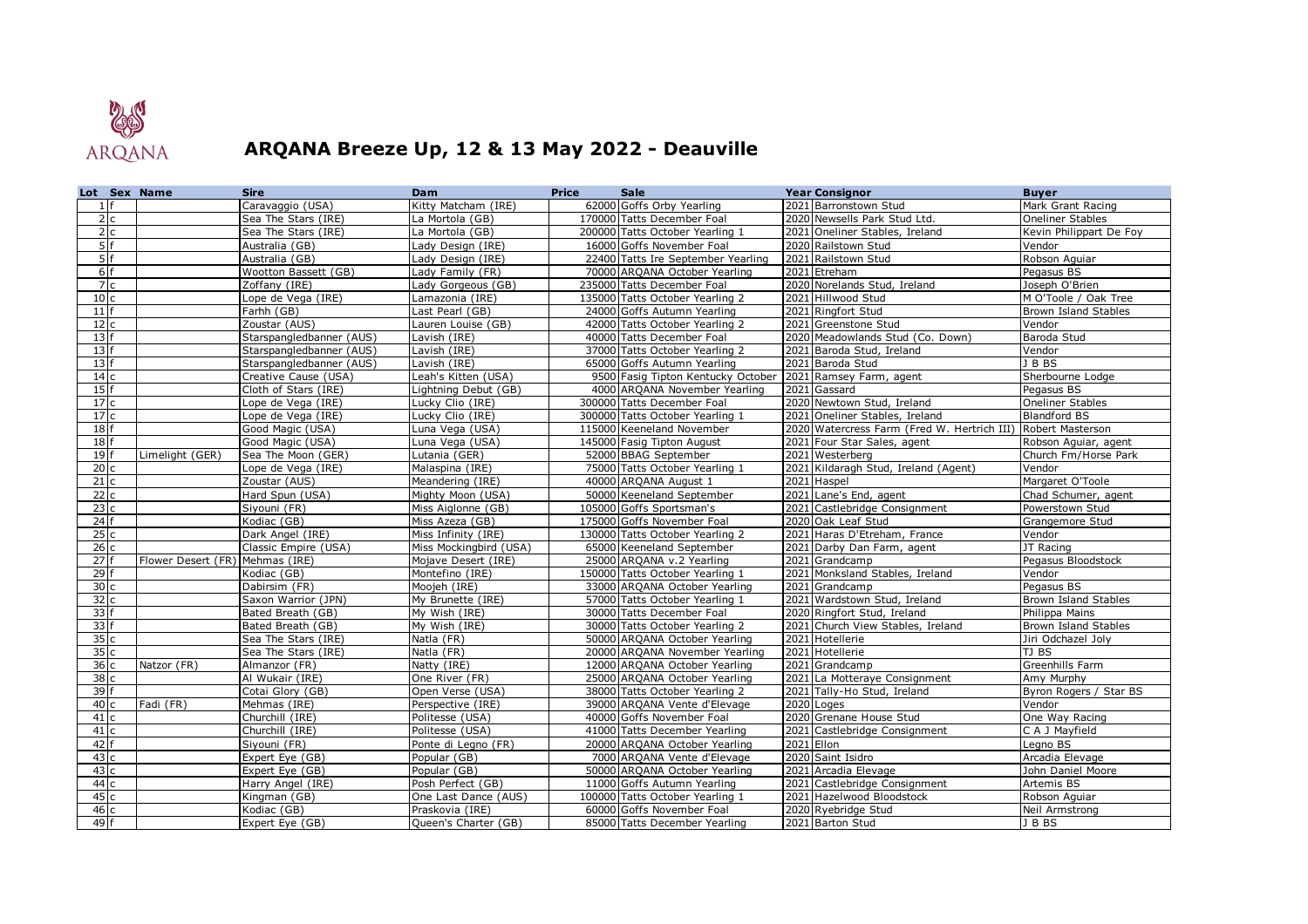

## **ARQANA Breeze Up, 12 & 13 May 2022 - Deauville**

| Lot Sex Name     |                                 | <b>Sire</b>                        | Dam                                | <b>Price</b> | <b>Sale</b>                                                | <b>Year Consignor</b>                                    | Buyer                            |
|------------------|---------------------------------|------------------------------------|------------------------------------|--------------|------------------------------------------------------------|----------------------------------------------------------|----------------------------------|
| $1 \vert f$      |                                 | Caravaggio (USA)                   | Kitty Matcham (IRE)                |              | 62000 Goffs Orby Yearling                                  | 2021 Barronstown Stud                                    | Mark Grant Racing                |
| $\overline{2}$ c |                                 | Sea The Stars (IRE)                | La Mortola (GB)                    |              | 170000 Tatts December Foal                                 | 2020 Newsells Park Stud Ltd.                             | Oneliner Stables                 |
| 2c               |                                 | Sea The Stars (IRE)                | La Mortola (GB)                    |              | 200000 Tatts October Yearling 1                            | 2021 Oneliner Stables, Ireland                           | Kevin Philippart De Foy          |
| 5f               |                                 | Australia (GB)                     | Lady Design (IRE)                  |              | 16000 Goffs November Foal                                  | 2020 Railstown Stud                                      | Vendor                           |
| 5f               |                                 | Australia (GB)                     | Lady Design (IRE)                  |              | 22400 Tatts Ire September Yearling                         | 2021 Railstown Stud                                      | Robson Aquiar                    |
| 6f               |                                 | Wootton Bassett (GB)               | Lady Family (FR)                   |              | 70000 ARQANA October Yearling                              | 2021 Etreham                                             | Pegasus BS                       |
| 7c               |                                 | Zoffany (IRE)                      | Lady Gorgeous (GB)                 |              | 235000 Tatts December Foal                                 | 2020 Norelands Stud, Ireland                             | Joseph O'Brien                   |
| 10 <sub>c</sub>  |                                 | Lope de Vega (IRE)                 | Lamazonia (IRE)                    |              | 135000 Tatts October Yearling 2                            | 2021 Hillwood Stud                                       | M O'Toole / Oak Tree             |
| 11               |                                 | Farhh (GB)                         | Last Pearl $(\overline{GB})$       |              | 24000 Goffs Autumn Yearling                                | 2021 Ringfort Stud                                       | Brown Island Stables             |
| 12c              |                                 | Zoustar (AUS)                      | Lauren Louise (GB)                 |              | 42000 Tatts October Yearling 2                             | 2021 Greenstone Stud                                     | Vendor                           |
| $13$ f           |                                 | Starspangledbanner (AUS)           | Lavish (IRE)                       |              | 40000 Tatts December Foal                                  | 2020 Meadowlands Stud (Co. Down)                         | Baroda Stud                      |
| $13$ f           |                                 | Starspangledbanner (AUS)           | Lavish (IRE)                       |              | 37000 Tatts October Yearling 2                             | 2021 Baroda Stud, Ireland                                | Vendor                           |
| 13 f             |                                 | Starspangledbanner (AUS)           | Lavish (IRE)                       |              | 65000 Goffs Autumn Yearling                                | 2021 Baroda Stud                                         | JBBS                             |
| 14 <sub>c</sub>  |                                 | Creative Cause (USA)               | Leah's Kitten (USA)                |              | 9500 Fasig Tipton Kentucky October                         | 2021 Ramsey Farm, agent                                  | Sherbourne Lodge                 |
| 15               |                                 | Cloth of Stars (IRE)               | Lightning Debut (GB)               |              | 4000 ARQANA November Yearling                              | 2021 Gassard                                             | Pegasus BS                       |
| 17c              |                                 | Lope de Vega (IRE)                 | Lucky Clio (IRE)                   |              | 300000 Tatts December Foal                                 | 2020 Newtown Stud, Ireland                               | <b>Oneliner Stables</b>          |
| 17c              |                                 | Lope de Vega (IRE)                 | Lucky Clio (IRE)                   |              | 300000 Tatts October Yearling 1                            | 2021 Oneliner Stables, Ireland                           | <b>Blandford BS</b>              |
| 18 f             |                                 | Good Magic (USA)                   | Luna Vega (USA)                    |              | 115000 Keeneland November                                  | 2020 Watercress Farm (Fred W. Hertrich III)              | Robert Masterson                 |
| $18$ f           |                                 | Good Magic (USA)                   | Luna Vega (USA)                    |              | 145000 Fasig Tipton August                                 | 2021 Four Star Sales, agent                              | Robson Aguiar, agent             |
| 19 <sub>f</sub>  | Limelight (GER)                 | Sea The Moon (GER)                 | Lutania (GER)                      |              | 52000 BBAG September                                       | 2021 Westerberg                                          | Church Fm/Horse Park             |
| 20c              |                                 | Lope de Vega (IRE)                 | Malaspina (IRE)                    |              | 75000 Tatts October Yearling 1                             | 2021 Kildaragh Stud, Ireland (Agent)                     | Vendor                           |
| 21c              |                                 | Zoustar (AUS)                      | Meandering (IRE)                   |              | 40000 ARQANA August 1                                      | 2021 Haspel                                              | Margaret O'Toole                 |
| 22c              |                                 | Hard Spun (USA)                    | Mighty Moon (USA)                  |              | 50000 Keeneland September                                  | 2021 Lane's End, agent                                   | Chad Schumer, agent              |
| 23c              |                                 | Siyouni (FR)                       | Miss Aiglonne (GB)                 |              | 105000 Goffs Sportsman's                                   | 2021 Castlebridge Consignment                            | Powerstown Stud                  |
| $24$ f           |                                 | Kodiac (GB)                        | Miss Azeza (GB)                    |              | 175000 Goffs November Foal                                 | 2020 Oak Leaf Stud                                       | Grangemore Stud                  |
| 25c              |                                 | Dark Angel (IRE)                   | Miss Infinity (IRE)                |              | 130000 Tatts October Yearling 2                            | 2021 Haras D'Etreham, France                             | Vendor                           |
| 26 c             |                                 | Classic Empire (USA)               | Miss Mockingbird (USA)             |              | 65000 Keeneland September                                  | 2021 Darby Dan Farm, agent                               | JT Racing                        |
| 27f              | Flower Desert (FR) Mehmas (IRE) |                                    | Mojave Desert (IRE)                |              | 25000 ARQANA v.2 Yearling                                  | 2021 Grandcamp                                           | Pegasus Bloodstock               |
| $29$ f           |                                 | Kodiac (GB)                        | Montefino (IRE)                    |              | 150000 Tatts October Yearling 1                            | 2021 Monksland Stables, Ireland                          | Vendor                           |
| 30c              |                                 | Dabirsim (FR)                      | Moojeh (IRE)                       |              | 33000 ARQANA October Yearling                              | 2021 Grandcamp                                           | Pegasus BS                       |
| 32c              |                                 | Saxon Warrior (JPN)                | My Brunette (IRE)                  |              | 57000 Tatts October Yearling 1                             | 2021 Wardstown Stud, Ireland                             | Brown Island Stables             |
| $33$ f           |                                 | Bated Breath (GB)                  | My Wish (IRE)                      |              | 30000 Tatts December Foal                                  | 2020 Ringfort Stud, Ireland                              | Philippa Mains                   |
| 33f              |                                 | Bated Breath (GB)                  | My Wish (IRE)                      |              | 30000 Tatts October Yearling 2                             | 2021 Church View Stables, Ireland                        | Brown Island Stables             |
| 35c              |                                 | Sea The Stars (IRE)                | Natla (FR)                         |              | 50000 ARQANA October Yearling                              | 2021 Hotellerie                                          | Jiri Odchazel Joly               |
| 35c              |                                 | Sea The Stars (IRE)                | Natla (FR)                         |              | 20000 ARQANA November Yearling                             | 2021 Hotellerie                                          | TJ BS                            |
| 36c              | Natzor (FR)                     | Almanzor (FR)                      | Natty (IRE)                        |              | 12000 ARQANA October Yearling                              | 2021 Grandcamp                                           | Greenhills Farm                  |
| 38c              |                                 | Al Wukair (IRE)                    | One River (FR)                     |              | 25000 ARQANA October Yearling                              | 2021 La Motteraye Consignment                            | Amy Murphy                       |
| 39 f             |                                 | Cotai Glory (GB)                   | Open Verse (USA)                   |              | 38000 Tatts October Yearling 2                             | 2021 Tally-Ho Stud, Ireland                              | Byron Rogers / Star BS           |
| 40 c<br>41c      | Fadi (FR)                       | Mehmas (IRE)                       | Perspective (IRE)                  |              | 39000 ARQANA Vente d'Elevage                               | 2020 Loges                                               | Vendor                           |
| 41c              |                                 | Churchill (IRE)<br>Churchill (IRE) | Politesse (USA)<br>Politesse (USA) |              | 40000 Goffs November Foal<br>41000 Tatts December Yearling | 2020 Grenane House Stud<br>2021 Castlebridge Consignment | One Way Racing<br>C A J Mayfield |
| $42$ f           |                                 | Siyouni (FR)                       | Ponte di Legno (FR)                |              | 20000 ARQANA October Yearling                              | 2021 Ellon                                               | Legno BS                         |
| 43 c             |                                 | Expert Eye (GB)                    | Popular (GB)                       |              | 7000 ARQANA Vente d'Elevage                                | 2020 Saint Isidro                                        | Arcadia Elevage                  |
| 43c              |                                 | Expert Eye (GB)                    | Popular (GB)                       |              | 50000 ARQANA October Yearling                              | 2021 Arcadia Elevage                                     | John Daniel Moore                |
| 44 c             |                                 | Harry Angel (IRE)                  | Posh Perfect (GB)                  |              | 11000 Goffs Autumn Yearling                                | 2021 Castlebridge Consignment                            | Artemis BS                       |
| 45c              |                                 | Kingman (GB)                       | One Last Dance (AUS)               |              | 100000 Tatts October Yearling 1                            | 2021 Hazelwood Bloodstock                                | Robson Aguiar                    |
| 46 c             |                                 | Kodiac (GB)                        | Praskovia (IRE)                    |              | 60000 Goffs November Foal                                  | 2020 Ryebridge Stud                                      | Neil Armstrong                   |
| $49$ f           |                                 | Expert Eye (GB)                    | Queen's Charter (GB)               |              | 85000 Tatts December Yearling                              | 2021 Barton Stud                                         | J B BS                           |
|                  |                                 |                                    |                                    |              |                                                            |                                                          |                                  |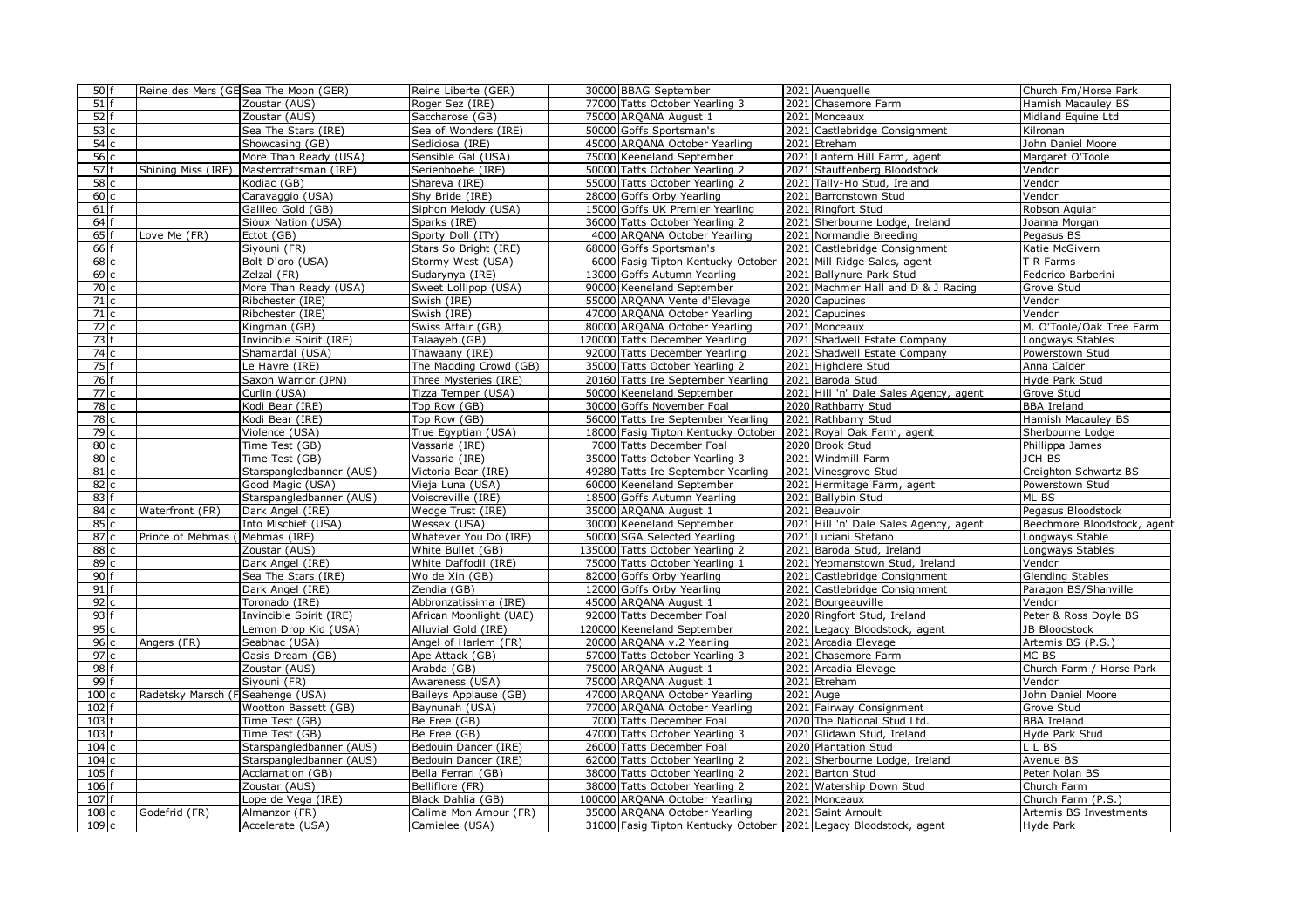| 50 f              |                                   | Reine des Mers (GE Sea The Moon (GER) | Reine Liberte (GER)                    | 30000 BBAG September                                        | 2021 Auenquelle                                                 | Church Fm/Horse Park        |
|-------------------|-----------------------------------|---------------------------------------|----------------------------------------|-------------------------------------------------------------|-----------------------------------------------------------------|-----------------------------|
| $51$ f            |                                   | Zoustar (AUS)                         | Roger Sez (IRE)                        | 77000 Tatts October Yearling 3                              | 2021 Chasemore Farm                                             | Hamish Macauley BS          |
| 52 f              |                                   | Zoustar (AUS)                         | Saccharose (GB)                        | 75000 ARQANA August 1                                       | 2021 Monceaux                                                   | Midland Equine Ltd          |
| 53c               |                                   | Sea The Stars (IRE)                   | Sea of Wonders (IRE)                   | 50000 Goffs Sportsman's                                     | 2021 Castlebridge Consignment                                   | Kilronan                    |
| 54 c              |                                   | Showcasing (GB)                       | Sediciosa (IRE)                        | 45000 ARQANA October Yearling                               | 2021 Etreham                                                    | John Daniel Moore           |
| 56 c              |                                   | More Than Ready (USA)                 | Sensible Gal (USA)                     | 75000 Keeneland September                                   | 2021 Lantern Hill Farm, agent                                   | Margaret O'Toole            |
| 57 f              | Shining Miss (IRE)                | Mastercraftsman (IRE)                 | Serienhoehe (IRE)                      | 50000 Tatts October Yearling 2                              | 2021 Stauffenberg Bloodstock                                    | Vendor                      |
| 58 c              |                                   | Kodiac (GB)                           | Shareva (IRE)                          | 55000 Tatts October Yearling 2                              | 2021 Tally-Ho Stud, Ireland                                     | Vendor                      |
| 60c               |                                   | Caravaggio (USA)                      | Shy Bride (IRE)                        | 28000 Goffs Orby Yearling                                   | 2021 Barronstown Stud                                           | Vendor                      |
| 61 f              |                                   | Galileo Gold (GB)                     | Siphon Melody (USA)                    | 15000 Goffs UK Premier Yearling                             | 2021 Ringfort Stud                                              | Robson Aguiar               |
| 64 f              |                                   | Sioux Nation (USA)                    | Sparks (IRE)                           | 36000 Tatts October Yearling 2                              | 2021 Sherbourne Lodge, Ireland                                  | Joanna Morgan               |
| $65$ f            | Love Me (FR)                      | Ectot (GB)                            | Sporty Doll (ITY)                      | 4000 ARQANA October Yearling                                | 2021 Normandie Breeding                                         | Pegasus BS                  |
| 66 f              |                                   | Siyouni (FR)                          | Stars So Bright (IRE)                  | 68000 Goffs Sportsman's                                     | 2021 Castlebridge Consignment                                   | Katie McGivern              |
| 68c               |                                   | Bolt D'oro (USA)                      | Stormy West (USA)                      | 6000 Fasig Tipton Kentucky October                          | 2021 Mill Ridge Sales, agent                                    | T R Farms                   |
| 69c               |                                   | Zelzal (FR)                           | Sudarynya (IRE)                        | 13000 Goffs Autumn Yearling                                 | 2021 Ballynure Park Stud                                        | Federico Barberini          |
| $\overline{70}$ c |                                   | More Than Ready (USA)                 | Sweet Lollipop (USA)                   | 90000 Keeneland September                                   | 2021 Machmer Hall and D & J Racing                              | Grove Stud                  |
| 71c               |                                   | Ribchester (IRE)                      | Swish (IRE)                            | 55000 ARQANA Vente d'Elevage                                | 2020 Capucines                                                  | Vendor                      |
| 71 c              |                                   | Ribchester (IRE)                      | Swish (IRE)                            | 47000 ARQANA October Yearling                               | 2021 Capucines                                                  | Vendor                      |
| 72 c              |                                   | Kingman (GB)                          | Swiss Affair (GB)                      | 80000 ARQANA October Yearling                               | 2021 Monceaux                                                   | M. O'Toole/Oak Tree Farm    |
| 73 f              |                                   | Invincible Spirit (IRE)               | Talaayeb (GB)                          | 120000 Tatts December Yearling                              | 2021 Shadwell Estate Company                                    | Longways Stables            |
| 74 c              |                                   | Shamardal (USA)                       | Thawaany (IRE)                         | 92000 Tatts December Yearling                               | 2021 Shadwell Estate Company                                    | Powerstown Stud             |
| 75 f              |                                   | Le Havre (IRE)                        | The Madding Crowd (GB)                 | 35000 Tatts October Yearling 2                              | 2021 Highclere Stud                                             | Anna Calder                 |
| 76 f              |                                   | Saxon Warrior (JPN)                   | Three Mysteries (IRE)                  | 20160 Tatts Ire September Yearling                          | 2021 Baroda Stud                                                | Hyde Park Stud              |
| 77 c              |                                   | Curlin (USA)                          | Tizza Temper (USA)                     | 50000 Keeneland September                                   | 2021 Hill 'n' Dale Sales Agency, agent                          | Grove Stud                  |
| 78 c              |                                   | Kodi Bear (IRE)                       | Top Row (GB)                           | 30000 Goffs November Foal                                   | 2020 Rathbarry Stud                                             | <b>BBA Ireland</b>          |
| $\overline{78}$ c |                                   | Kodi Bear (IRE)                       | Top Row (GB)                           | 56000 Tatts Ire September Yearling                          | 2021 Rathbarry Stud                                             | Hamish Macauley BS          |
| 79 c              |                                   | Violence (USA)                        | True Egyptian (USA)                    | 18000 Fasig Tipton Kentucky October                         | 2021 Royal Oak Farm, agent                                      | Sherbourne Lodge            |
| 80 c              |                                   | Time Test (GB)                        | Vassaria (IRE)                         | 7000 Tatts December Foal                                    | 2020 Brook Stud                                                 | Phillippa James             |
| 80c               |                                   | Time Test (GB)                        | Vassaria (IRE)                         | 35000 Tatts October Yearling 3                              | 2021 Windmill Farm                                              | JCH BS                      |
| 81 c              |                                   | Starspangledbanner (AUS)              | Victoria Bear (IRE)                    | 49280 Tatts Ire September Yearling                          | 2021 Vinesgrove Stud                                            | Creighton Schwartz BS       |
| 82 c              |                                   | Good Magic (USA)                      | Vieja Luna (USA)                       | 60000 Keeneland September                                   | 2021 Hermitage Farm, agent                                      | Powerstown Stud             |
| 83 f              |                                   | Starspangledbanner (AUS)              | Voiscreville (IRE)                     | 18500 Goffs Autumn Yearling                                 | 2021 Ballybin Stud                                              | ML BS                       |
| 84 c              | Waterfront (FR)                   | Dark Angel (IRE)                      | Wedge Trust (IRE)                      | 35000 ARQANA August 1                                       | 2021 Beauvoir                                                   | Pegasus Bloodstock          |
| 85 c<br>87 c      |                                   | Into Mischief (USA)                   | Wessex (USA)                           | 30000 Keeneland September                                   | 2021 Hill 'n' Dale Sales Agency, agent                          | Beechmore Bloodstock, agent |
| 88 c              | Prince of Mehmas (                | Mehmas (IRE)                          | Whatever You Do (IRE)                  | 50000 SGA Selected Yearling                                 | 2021 Luciani Stefano                                            | Longways Stable             |
| 89 c              |                                   | Zoustar (AUS)<br>Dark Angel (IRE)     | White Bullet (GB)                      | 135000 Tatts October Yearling 2                             | 2021 Baroda Stud, Ireland                                       | Longways Stables<br>Vendor  |
| $90$ f            |                                   | Sea The Stars (IRE)                   | White Daffodil (IRE)<br>Wo de Xin (GB) | 75000 Tatts October Yearling 1<br>82000 Goffs Orby Yearling | 2021 Yeomanstown Stud, Ireland<br>2021 Castlebridge Consignment | <b>Glending Stables</b>     |
| $91$ f            |                                   | Dark Angel (IRE)                      | Zendia (GB)                            | 12000 Goffs Orby Yearling                                   | 2021 Castlebridge Consignment                                   | Paragon BS/Shanville        |
| 92c               |                                   | Toronado (IRE)                        | Abbronzatissima (IRE)                  | 45000 ARQANA August 1                                       | 2021 Bourgeauville                                              | Vendor                      |
| 93 f              |                                   | Invincible Spirit (IRE)               | African Moonlight (UAE)                | 92000 Tatts December Foal                                   | 2020 Ringfort Stud, Ireland                                     | Peter & Ross Doyle BS       |
| 95c               |                                   | Lemon Drop Kid (USA)                  | Alluvial Gold (IRE)                    | 120000 Keeneland September                                  | 2021 Legacy Bloodstock, agent                                   | JB Bloodstock               |
| 96 c              | Angers (FR)                       | Seabhac (USA)                         | Angel of Harlem (FR)                   | 20000 ARQANA v.2 Yearling                                   | 2021 Arcadia Elevage                                            | Artemis BS (P.S.)           |
| 97 c              |                                   | Oasis Dream (GB)                      | Ape Attack (GB)                        | 57000 Tatts October Yearling 3                              | 2021 Chasemore Farm                                             | MC BS                       |
| 98 f              |                                   | Zoustar (AUS)                         | Arabda (GB)                            | 75000 ARQANA August 1                                       | 2021 Arcadia Elevage                                            | Church Farm / Horse Park    |
| 99 f              |                                   | Siyouni (FR)                          | Awareness (USA)                        | 75000 ARQANA August 1                                       | 2021 Etreham                                                    | Vendor                      |
| 100 c             | Radetsky Marsch (F Seahenge (USA) |                                       | Baileys Applause (GB)                  | 47000 ARQANA October Yearling                               | 2021 Auge                                                       | John Daniel Moore           |
| $102$ f           |                                   | Wootton Bassett (GB)                  | Baynunah (USA)                         | 77000 ARQANA October Yearling                               | 2021 Fairway Consignment                                        | Grove Stud                  |
| $103$ f           |                                   | Time Test (GB)                        | Be Free (GB)                           | 7000 Tatts December Foal                                    | 2020 The National Stud Ltd.                                     | <b>BBA Ireland</b>          |
| $103$ f           |                                   | Time Test (GB)                        | Be Free (GB)                           | 47000 Tatts October Yearling 3                              | 2021 Glidawn Stud, Ireland                                      | Hyde Park Stud              |
| 104 c             |                                   | Starspangledbanner (AUS)              | Bedouin Dancer (IRE)                   | 26000 Tatts December Foal                                   | 2020 Plantation Stud                                            | L L BS                      |
| 104 c             |                                   | Starspangledbanner (AUS)              | Bedouin Dancer (IRE)                   | 62000 Tatts October Yearling 2                              | 2021 Sherbourne Lodge, Ireland                                  | Avenue BS                   |
| 105 f             |                                   | Acclamation (GB)                      | Bella Ferrari (GB)                     | 38000 Tatts October Yearling 2                              | 2021 Barton Stud                                                | Peter Nolan BS              |
| 106 f             |                                   | Zoustar (AUS)                         | Belliflore (FR)                        | 38000 Tatts October Yearling 2                              | 2021 Watership Down Stud                                        | Church Farm                 |
| 107 f             |                                   | Lope de Vega (IRE)                    | Black Dahlia (GB)                      | 100000 ARQANA October Yearling                              | 2021 Monceaux                                                   | Church Farm (P.S.)          |
| 108 c             | Godefrid (FR)                     | Almanzor (FR)                         | Calima Mon Amour (FR)                  | 35000 ARQANA October Yearling                               | 2021 Saint Arnoult                                              | Artemis BS Investments      |
| 109 <sub>c</sub>  |                                   | Accelerate (USA)                      | Camielee (USA)                         | 31000 Fasig Tipton Kentucky October                         | 2021 Legacy Bloodstock, agent                                   | Hyde Park                   |